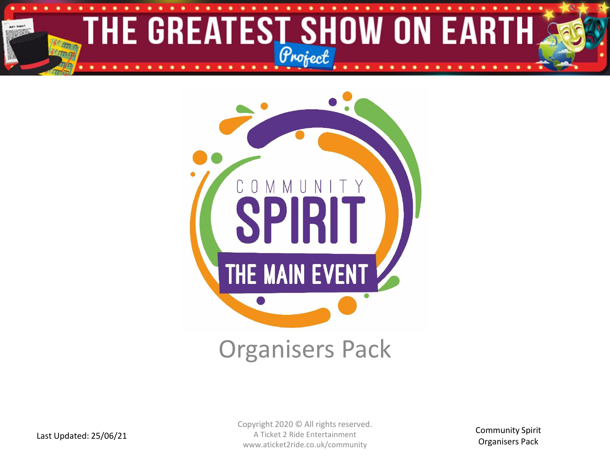



Copyright 2020 © All rights reserved. A Ticket 2 Ride Entertainment www.aticket2ride.co.uk/community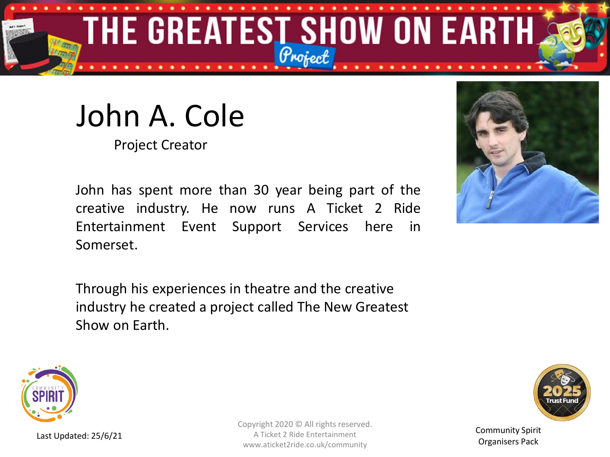

# John A. Cole

Project Creator

John has spent more than 30 year being part of the creative industry. He now runs A Ticket 2 Ride Entertainment Event Support Services here in Somerset.

Through his experiences in theatre and the creative industry he created a project called The New Greatest Show on Earth.





Last Updated: 25/6/21

Copyright 2020 © All rights reserved. A Ticket 2 Ride Entertainment www.aticket2ride.co.uk/community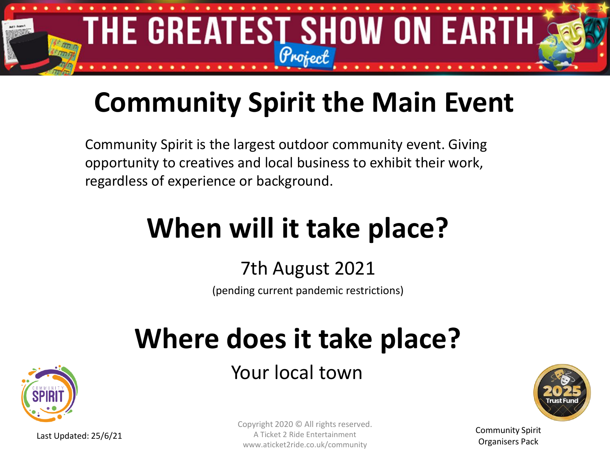

### **Community Spirit the Main Event**

Community Spirit is the largest outdoor community event. Giving opportunity to creatives and local business to exhibit their work, regardless of experience or background.

## **When will it take place?**

### 7th August 2021

(pending current pandemic restrictions)

# **Where does it take place?**

Your local town





Community Spirit Organisers Pack

Last Updated: 25/6/21

Copyright 2020 © All rights reserved. A Ticket 2 Ride Entertainment www.aticket2ride.co.uk/community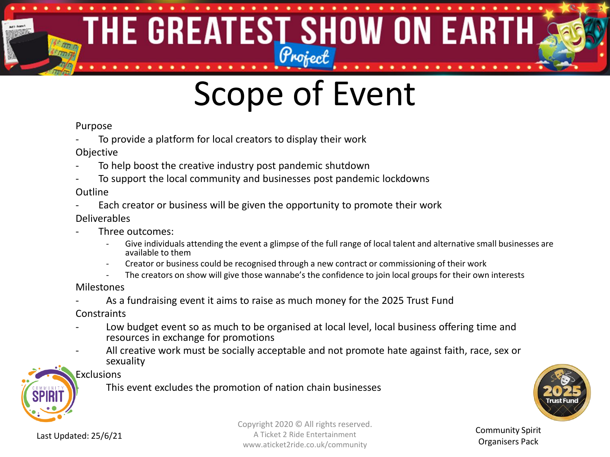### THE GREATEST SHOW ON EARTH 有限的

# Scope of Event

#### Purpose

- To provide a platform for local creators to display their work
- Objective
- To help boost the creative industry post pandemic shutdown
- To support the local community and businesses post pandemic lockdowns

#### Outline

Each creator or business will be given the opportunity to promote their work

#### Deliverables

- Three outcomes:
	- Give individuals attending the event a glimpse of the full range of local talent and alternative small businesses are available to them
	- Creator or business could be recognised through a new contract or commissioning of their work
	- The creators on show will give those wannabe's the confidence to join local groups for their own interests

#### Milestones

As a fundraising event it aims to raise as much money for the 2025 Trust Fund

**Constraints** 

- Low budget event so as much to be organised at local level, local business offering time and resources in exchange for promotions
- All creative work must be socially acceptable and not promote hate against faith, race, sex or sexuality

### Exclusions

This event excludes the promotion of nation chain businesses



Last Updated: 25/6/21

Copyright 2020 © All rights reserved. A Ticket 2 Ride Entertainment www.aticket2ride.co.uk/community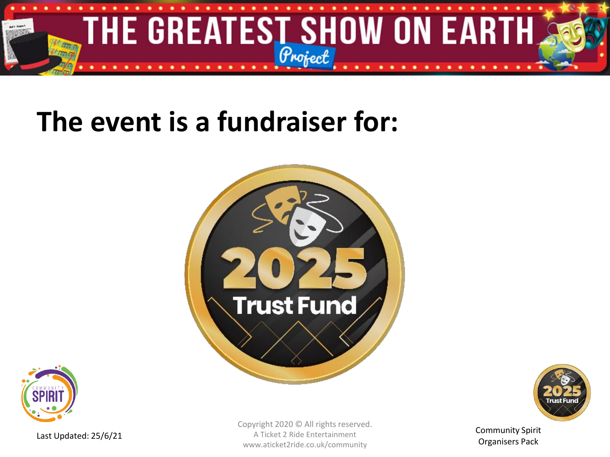

### **The event is a fundraiser for:**







Community Spirit Organisers Pack

Last Updated: 25/6/21

Copyright 2020 © All rights reserved. A Ticket 2 Ride Entertainment www.aticket2ride.co.uk/community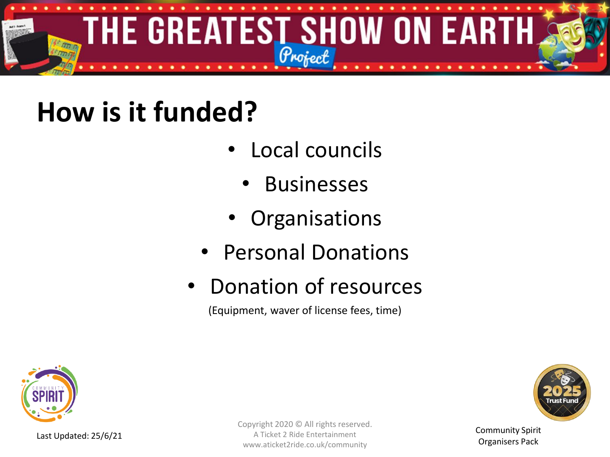

### **How is it funded?**

- Local councils
	- **Businesses**
- **Organisations**
- Personal Donations
- Donation of resources

(Equipment, waver of license fees, time)



Last Updated: 25/6/21

Copyright 2020 © All rights reserved. A Ticket 2 Ride Entertainment www.aticket2ride.co.uk/community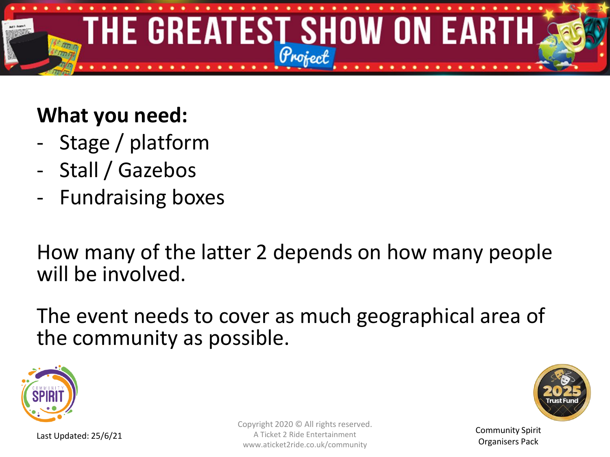

### **What you need:**

- Stage / platform
- Stall / Gazebos
- Fundraising boxes

How many of the latter 2 depends on how many people will be involved.

The event needs to cover as much geographical area of the community as possible.





Community Spirit Organisers Pack

Copyright 2020 © All rights reserved. A Ticket 2 Ride Entertainment www.aticket2ride.co.uk/community

Last Updated: 25/6/21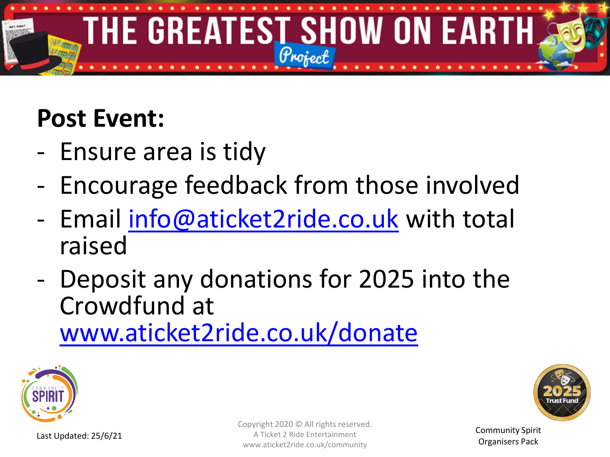

### **Post Event:**

- Ensure area is tidy
- Encourage feedback from those involved
- Email [info@aticket2ride.co.uk](mailto:info@aticket2ride.co.uk) with total raised
- Deposit any donations for 2025 into the Crowdfund at [www.aticket2ride.co.uk/donate](http://www.aticket2ride.co.uk/donate)





Community Spirit Organisers Pack

Copyright 2020 © All rights reserved. A Ticket 2 Ride Entertainment www.aticket2ride.co.uk/community

Last Updated: 25/6/21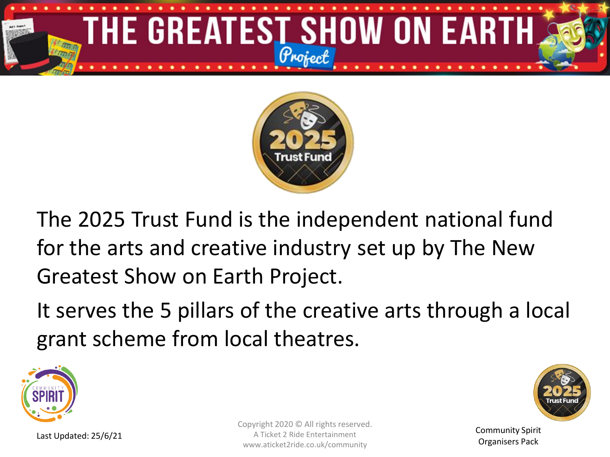



The 2025 Trust Fund is the independent national fund for the arts and creative industry set up by The New Greatest Show on Earth Project.

It serves the 5 pillars of the creative arts through a local grant scheme from local theatres.





Community Spirit Organisers Pack

Copyright 2020 © All rights reserved. A Ticket 2 Ride Entertainment www.aticket2ride.co.uk/community

Last Updated: 25/6/21